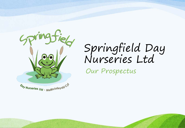

# Springfield Day Nurseries Ltd

Our Prospectus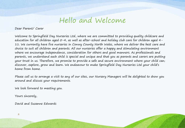### Hello and Welcome

#### Dear Parent/ Carer

Welcome to Springfield Day Nurseries Ltd, where we are committed to providing quality childcare and education for all children aged  $O-4$ , as well as after-school and holiday club care for children aged  $4-$ 11. We currently have five nurseries in Conwy County North Wales, where we deliver the best care and choice to suit all children and parents. All our nurseries offer a happy and stimulating environment where we encourage independence, consideration for others and good manners. As professionals and parents, we understand each child is special and unique and that you as parents and carers are putting your trust in us. Therefore, we promise to provide a safe and secure environment where your child can; discover, explore, grow and learn. We endeavour to make Springfield Day Nurseries Ltd your child's home from home.

Please call us to arrange a visit to any of our sites, our Nursery Managers will be delighted to show you around and discuss your requirements.

We look forward to meeting you.

Yours sincerely,

David and Suzanne Edwards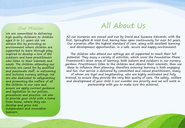### Our Mission

We are committed to delivering high quality childcare to children aged 0 to 11 years old. We achieve this by providing an environment where children are supported to learn through play, inspired to develop a love of the outdoors and have practitioners who listen to their interests and needs. The children attending our services are cared for by qualified and passionate staff, in welcoming and inclusive nursery settings. We are also dedicated to safeguarding and promoting the welfare of all the children in our care and ensure we apply current guidance and legislation to our policies, procedures and practice. We aim to provide your child with a home from home, where they can develop and grow into independent and innovative learners. 3

### All About Us

All our nurseries are owned and run by David and Suzanne Edwards, with the first, Springfield @ West End, having been open continuously for over 30 years. Our nurseries offer the highest standard of care, along with excellent learning and development opportunities, in a safe, secure and happy environment.

The children who attend our settings are all supported to reach their full potential. They enjoy a variety of activities, which cover the Foundation Phase Framework's seven areas of learning, both indoors and outdoors in our nursery gardens. Practitioners listen to the children and observe their interests, then use these to influence their planning, therefore ensuring learning is both engaging and fun. Our service is delivered by committed and valued practitioners, many of whom are loyal and longstanding, who are highly motivated and fully trained, to ensure they provide the very best quality of care. The safety, welfare and development of your child is our number one priority and we will work in partnership with you to make sure this achieved.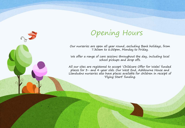## Opening Hours

Our nurseries are open all year round, excluding Bank holidays, from 7.30am to 6.00pm, Monday to Friday.

We offer a range of care sessions throughout the day, including local school pickups and drop offs.

All our sites are registered to accept 'Childcare Offer for Wales' funded places for 3- and 4-year olds. Our West End, Ashbourne House and Llandudno nurseries also have places available for children in receipt of 'Flying Start' funding.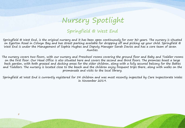### Springfield @ West End

Springfield @ West End, is the original nursery and it has been open continuously for over 30 years. The nursery is situated on Egerton Road in Colwyn Bay and has street parking available for dropping off and picking up your child. Springfield @ West End is under the Management of Sophie Hughes and Deputy Manager Sarah Davies and has a core team of seven Aunties.

The nursery covers two floors, with our nursery and Preschool rooms covering the ground floor and Baby and Toddler rooms on the first floor. Our Head Office is also situated here and covers the second and third floors. The premises boast a large back garden, with both grassed and decking areas for the older children, along with a fully secured balcony for the Babies and Toddlers. The nursery is located close to the beach and the children enjoy frequent trips there, along with walks on the promenade and visits to the local library.

. Springfield at West End is currently registered for 54 children and was most recently inspected by Care Inspectorate Wales in November 2019.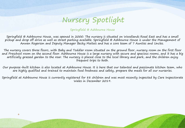Springfield @ Ashbourne House

Springfield @ Ashbourne House, was opened in 2000. The nursery is situated on Woodlands Road East and has a small pickup and drop off drive as well as street parking available. Springfield @ Ashbourne House is under the Management of Anwen Rogerson and Deputy Manager Becky Maitais and has a core team of 7 Aunties and Uncles.

The nursery covers three floors, with Baby and Toddler room situated on the ground floor, nursery room on the first floor and Preschool room on the second floor. Ashbourne House is a large nursery with secure and spacious rooms, and it has a big artificially grassed garden to the rear. The nursery is placed close to the local library and park, and the children enjoy frequent trips to both.

Our purpose-built kitchen is also located at Ashbourne House. It is here that our talented and passionate kitchen team, who are highly qualified and trained to maintain food freshness and safety, prepare the meals for all our nurseries.

Springfield at Ashbourne House is currently registered for 88 children and was most recently inspected by Care Inspectorate Wales in December 2019.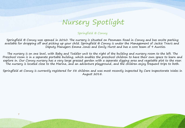Springfield @ Conwy

Springfield @ Conwy was opened in 2010. The nursery is situated on Penmaen Road in Conwy and has onsite parking available for dropping off and picking up your child. Springfield @ Conwy is under the Management of Jackie Travis and Deputy Managers Emma Jones and Emily Hurst and has a core team of 9 Aunties.

The nursery is on one level, with Baby and Toddler unit to the right of the building and nursery room to the left. The Preschool room is in a separate portable building, which enables the preschool children to have their own space to learn and explore in. Our Conwy nursery has a very large grassed garden with a separate digging area and vegetable plot to the rear. The nursery is located close to the Marina, and an adventure playground, and the children enjoy frequent trips to both.

Springfield at Conwy is currently registered for 58 children and was most recently inspected by Care Inspectorate Wales in August 2018.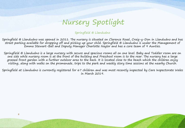Springfield @ Llandudno

Springfield @ Llandudno was opened in 2011. The nursery is situated on Clarence Road, Craig-y-Don in Llandudno and has street parking available for dropping off and picking up your child. Springfield @ Llandudno is under the Management of Emma Stewart-Ball and Deputy Manager Charlotte Naylor and has a core team of 9 Aunties.

Springfield @ Llandudno is a large nursery with secure and spacious rooms all on one level. Baby and Toddler room are on one side while nursery room is at the front of the building and Preschool room is to the rear. The nursery has a large grassed front garden with a further outdoor area to the back. It is located close to the beach which the children enjoy visiting, along with walks on the promenade, trips to the park and weekly story time sessions at the nearby Church.

Springfield at Llandudno is currently registered for 67 children and was most recently inspected by Care Inspectorate Wales in March 2019.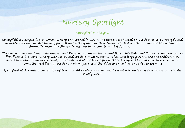Springfield @ Abergele

Springfield @ Abergele is our newest nursery and opened in 2017. The nursery is situated on Llanfair Road, in Abergele and has onsite parking available for dropping off and picking up your child. Springfield @ Abergele is under the Management of Emma Thomson and Sharon Davies and has a core team of 4 Aunties.

The nursery has two floors, with nursery and Preschool rooms on the ground floor while Baby and Toddler rooms are on the first floor. It is a large nursery with secure and spacious modern rooms. It has very large grounds and the children have access to grassed areas in the front, to the side and at the back. Springfield @ Abergele is located close to the centre of town, the local library and Pentre Mawr park, and the children enjoy frequent trips to them all.

Springfield at Abergele is currently registered for 44 children and was most recently inspected by Care Inspectorate Wales in July 2019.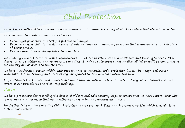### Child Protection

We will work with children, parents and the community to ensure the safety of all the children that attend our settings.

We endeavour to create an environment which:

- Encourages your child to develop a positive self-image
- Encourages your child to develop a sense of independence and autonomy in a way that is appropriate to their stage of development.
- Ensures practitioners always listen to your child

We abide by Care Inspectorate Wales requirements, in respect to references and Disclosure and Barring Service (DBS) checks for all practitioners and volunteers, regardless of their role, to ensure that no disqualified or unfit person works at the nursery or has access to the children.

We have a designated person within each nursery that co-ordinates child protection issues. The designated person undertakes specific training and accesses regular updates to developments within this field.

All practitioners, volunteers and students are made familiar with our Child Protection Policy, which ensures they are aware of our procedures and their responsibility.

#### Visitors

We have procedures for recording the details of visitors and take security steps to ensure that we have control over who comes into the nursery, so that no unauthorised person has any unsupervised access.

For further information regarding Child Protection, please see our Policies and Procedures booklet which is available at each of our nurseries.

 $10$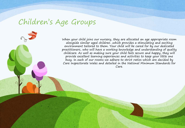When your child joins our nursery, they are allocated an age appropriate room alongside similar aged children ,which provides a stimulating and exciting environment tailored to them. Your child will be cared for by our dedicated practitioners, who will have a working knowledge and understanding of quality childcare. As well as making sure your child feels secure and happy, they will provide excellent learning experiences and activities to keep your little one busy. In each of our rooms we adhere to strict ratios which are decided by Care Inspectorate Wales and detailed in the National Minimum Standards for Care.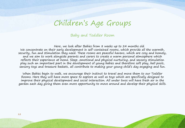#### Baby and Toddler Room

Here, we look after Babies from 8 weeks up to 24 months old. We concentrate on their early development in self-contained rooms, which provide all the warmth, security, fun and stimulation they need. These rooms are peaceful havens, which are cosy and homely, and we aim to work alongside parents and carers to create a warm personal atmosphere which reflects their experience at home. Sleep, emotional and physical nurturing, and sensory stimulation play such an important part in the development of young babies and therefore soft play, ball pools, sensory toys and treasure baskets, all contribute to making your young child's day engaging and fun.

When Babies begin to walk, we encourage their instinct to travel and move them to our Toddler Rooms. Here they will have more space to explore as well as toys which are specifically designed to improve their physical development and social interaction. All under twos will have fresh air in the garden each day giving them even more opportunity to move around and develop their physical skills.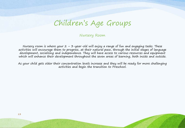#### Nursery Room

Nursery room is where your  $2 - 3$ -year-old will enjoy a range of fun and engaging tasks. These activities will encourage them to progress, at their natural pace, through the initial stages of language development, socialising and independence. They will have access to various resources and equipment which will enhance their development throughout the seven areas of learning, both inside and outside.

As your child gets older their concentration levels increase and they will be ready for more challenging activities and begin the transition to Preschool.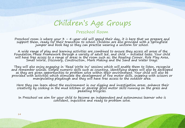### Preschool Room

Preschool room is where your  $3 - 4$ -year-old will spend their day, it is here that we prepare and support them, ready for their transition to school. Children are also provided with a Springfield jumper and book bag so th

A wide range of play and learning activities are combined to ensure they access all areas of the<br>Foundation Phase Framework through a variety of adult led, and child – initiated tasks. Your child will have free access to a range of areas in the room such as; the Reading Corner, Role Play Area,<br>Small World, Discovery, Construction, Mark Making and the Sand and Water trays.

They will also enjoy engaging in 'Read Write Inc' sessions which will enable them to listen, recognise and remember sounds. Simple numeric skills such as counting, identifying shapes will also be developed<br>as they are given opportunities to problem solve within their environment. Your child will also be<br>provided with activi

Here they can learn about the environment in our digging and investigation areas, enhance their creativity by cooking in the mud kitchen or develop gross motor skills running on the grass and pedalling tricycles.

In Preschool we aim for your child to become an independent and autonomous learner who is confident, inquisitive and ready to problem solve.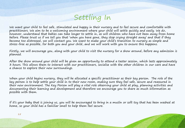

We want your child to feel safe, stimulated and happy in their nursery and to feel secure and comfortable with practitioners. We aim to be a welcoming environment where your child will settle quickly and easily. We do, however, understand that babies can take longer to settle in, as will children who have not been away from home before. Please trust us if we tell you that 'when you have gone, they stop crying straight away' and that if they become too distressed, we will contact you. We want to make your child's transition to nursery as simple and stress-free as possible, for both you and your child, and we will work with you to ensure this happens.

Firstly, we will encourage you, along with your child to visit the nursery for a show around, before any admission is planned.

After the show around your child will be given an opportunity to attend a taster session, which lasts approximately 3 hours. This allows them to interact with our practitioners, socialise with the other children in our care and have a chance to explore their new surroundings.

When your child begins nursery, they will be allocated a specific practitioner as their key person. The role of the key person is to help settle your child in to their new room, making sure they feel safe, secure and reassured in their new environment. The Key Person will play a vital role observing your child at play, planning activities and documenting their learning and development and therefore we encourage you to share as much information as possible with them.

If it's your baby that is joining us, you will be encouraged to bring in a muslin or soft toy that has been washed at home, so your child has a familiar smell to help them feel secure.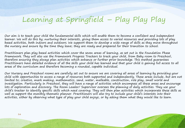## Learning at Springfield – Play Play Play

Our aim is to teach your child the fundamental skills which will enable them to become a confident and independent learner. We will do this by; nurturing their interests, giving them access to varied resources and providing lots of play based activities, both indoors and outdoors. We support them to develop a wide range of skills as they move throughout the nursery and ensure by the time they leave; they are ready and prepared for their transition to school.

Practitioners plan play based activities which cover the seven areas of learning, as set out in the Foundation Phase Framework. They will also use the Framework Progress Trackers to track your child, from Baby room to Preschool, therefore ensuring they always plan activities which enhance or further prior knowledge. This method guarantees Practitioners have detailed evidence of all the skills your child has learned and that your child is gaining full access to all areas of the curriculum and therefore becoming a rounded, capable individual.

Our Nursery and Preschool rooms are carefully set out to ensure we are covering all areas of learning by providing your child with opportunities to access a range of resources both supported and independently. These areas include, but are not limited to; creative, mark making, mathematics, sand, water, malleable, construction, role play, small world and investigation. Particularly in Preschool, they will have a range of activities which encompass all these areas and encourage lots of exploration and discovery. The Room Leader/ Supervisor oversees the planning of daily activities. They use your child's tracker to identify specific skills which need covering. They will then plan activities which incorporate these skills as well as support the monthly thematic planner. Practitioners will also try to include your child's interests into their activities, either by observing what type of play your child enjoys, or by asking them what they would like to learn.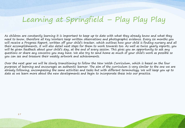## Learning at Springfield – Play Play Play

As children are constantly learning it is important to keep up to date with what they already know and what they need to know, therefore all Key Workers keep written observations and photographic evidence. Every six months you will receive a Progress Report, written off your child's tracker, which outlines how your child is finding nursery and all their accomplishments, it will also detail next steps for them to work towards too. As well as twice yearly reports, you will be given feedback about your child's day, at the end of every session. This gives you an opportunity to ask any questions or share any concerns you may have. We also try to send home as much of your child's work as possible so you can see and treasure their weekly artwork and achievements.

Over the next year we will be slowly transitioning to follow the New Welsh Curriculum, which is based on the four purposes of learning and encourages an authentic learner. The aim of the curriculum is very similar to the one we are already following, encompassing the same activities and tasks but with different terminology. We will keep you up to date as we learn more about the new developments and begin to incorporate these into our practice.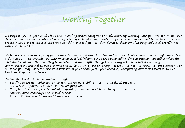## Working Together

We respect you, as your child's first and most important caregiver and educator. By working with you, we can make your child feel safe and secure while at nursery. We try to build strong relationships between nursery and home to ensure that practitioners can set out and support your child in a unique way that develops their own learning style and coordinates with their home life.

We build these relationships by providing extensive oral feedback at the end of your child's session and through completing daily diaries. These provide you with written detailed information about your child's time at nursery, including what they have done that day, the food they have eaten and any nappy changes. This diary also facilitates a two-way communication channel as you can write notes to us regarding anything you think we need to know, or any comments or concerns you may have. We also post pictures of your child (with your consent), completing different activities on our Facebook Page for you to see.

Partnerships will also be reinforced through;

- Settling in sheets, which are completed within your child's first 4-6 weeks at nursery.
- Six-month reports, outlining your child's progress.
- Samples of activities, crafts and photographs, which are sent home for you to treasure.
- Nursery open mornings and special services
- Parent Partnership forms and Home link processes.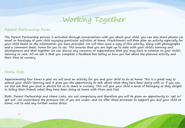

#### Parent Partnership Form

The Parent Partnership process is activated through conversations with you about your child, you can also share photos via email or hardcopy of your child enjoying particular activities at home. Practitioners will then plan an activity especially for your child based on the information you have provided. We will then send a copy of this activity, along with photographs and a comment sheet, home for you to see. This ensures that you are kept up to date with your child's learning and development and that together we can discuss any concerns or expectations that you may have in relation to your child's learning or care. All we ask is that you complete a feedback box telling us how you feel about the planned activity and their time at nursery.

#### Home links

Approximately four times a year we will send an activity for you and your child to do at home. This is a great way to extend your child's learning and it gives you the opportunity to talk about what they have been doing with us. If you can, we also ask that you send in photos for us to share in nursery. This will give your child a sense of belonging as they delight in telling their friends what they have been doing at home with Mum and Dad.

Both, Parent Partnership and Home Links, are not compulsory and therefore you will be given an opportunity to 'opt in/ opt out'. We understand the pressure lots of you are under, and we offer these processes to support you and your child at home, not to add any further undue stress.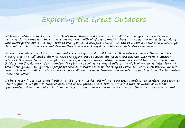## Exploring the Great Outdoors

We believe outdoor play is crucial to a child's development and therefore this will be encouraged for all ages, in all weathers. All our nurseries have a large outdoor area with playhouses, mud kitchens, sand pits and water trays, along with investigation areas and bug hotels to keep your child occupied. Overall, we aim to create an atmosphere where your child will be able to take risks and develop their problem-solving skills, while in a controlled environment.

We are great advocates of the outdoors and therefore your child will have free flow into the garden throughout the nursery day. This will enable them to have the opportunity to access the garden and interact with various outdoor activities. Similarly, to our indoor planners, an engaging and varied outdoor planner is created for the garden by our Outdoor and Development Co-ordinator. The planner provides a range of differentiated, book-based activities for each area of the garden, along with appropriate smaller resources suitable for Baby to Preschool room. Each planner includes several child and adult led activities which cover all seven areas of learning and include specific skills from the Foundation Phase Framework.

We have recently secured grant funding at all of our nurseries and will be using this to update our gardens and purchase new equipment. We plan to enhance each area of the garden and therefore provide a further wealth of outdoor opportunities. Have a look at each of our settings proposed garden designs when you visit them for your show around.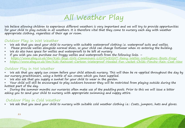## All Weather Play

We believe allowing children to experience different weathers is very important and we will try to provide opportunities for your child to play outside in all weathers. It is therefore vital that they come to nursery each day with weather appropriate clothing, regardless of their age or room.

### Outdoor Play in Wet Weather

- We ask that you send your child to nursery with suitable waterproof clothing i.e. waterproof suits and wellies.
- Please provide wellies alongside normal shoes, so your child can change footwear when re-entering the building.
- We do also have space for wellies and waterproofs to be left at nursery
- If you wish you can purchase our froggy wellies and waterproofs from the following links. –
- <https://www.ebay.co.uk/itm/Kids-Boys-Girls-Camminare-LIGHTWEIGHT-Rainy-Wellies-Wellingtons-Boots-Frog/>
- <https://www.ebay.co.uk/itm/Kids-Raincoat-Cartoon-Waterproof-Hooded-Fun-Jacket-Childs-Poncho-Rain-Coat-New>

#### Outdoor Play in Hot Weather

- We ask that you apply sun cream before your child attends nursery. This will then be re-applied throughout the day by our nursery practitioners, using a bottle of sun cream which you have supplied.
- We also ask that you supply a sunhat for your child to wear in the garden.
- Your child will still be encouraged to play outdoors however they will be restricted from playing outside during the hottest part of the day.
- During the summer months our nurseries often make use of the paddling pools. Prior to this we will issue a letter asking you to send your child to nursery with appropriate swimming and nappy attire.

### Outdoor Play in Cold Weather

• We ask that you send your child to nursery with suitable cold weather clothing i.e.: Coats, jumpers, hats and gloves.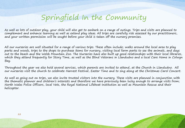## Springfield In the Community

As well as lots of outdoor play, your child will also get to embark on a range of outings. Trips and visits are planned to complement and enhance learning as well as extend play ideas. All trips are carefully risk assessed by our practitioners, and your written permission will be sought before your child is taken off the nursery premises.

All our nurseries are well situated for a range of various trips. These often include; walks around the local area to play parks and woods, trips to the shops to purchase items for nursery, visiting local farm parks to see the animals, and days out to the beach and the Welsh Mountain Zoo. The Nurseries have also built up good relationships with their local libraries, which they attend frequently for Story Time, as well as the Blind Veterans in Llandudno and a local Care Home in Colwyn Bay.

Throughout the year we also hold several services, which parents are invited to attend, at the Church in Llandudno. All our nurseries visit the church to celebrate Harvest Festival, Easter Time and to sing along at the Christmas Carol Concert.

As well as going out on trips, we also invite trusted visitors into the nursery. These visits are planned in conjunction with the thematic planner and children's interests and therefore we have previously been lucky enough to arrange visits from; North Wales Police Officers, local Vets, the Royal National Lifeboat Institution as well as Mountain Rescue and their helicopter.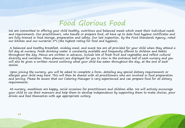## Food Glorious Food

We are committed to offering your child healthy, nutritious and balanced meals which meet their individual needs and requirements. Our practitioners, who handle or prepare food, all have up to date food hygiene certificates and are fully trained in food storage, preparation and safety. Our last inspection, by the Food Standards Agency, rated our kitchen and our nurseries  $5$ \*s (the highest rating for food and hygiene).

A balanced and healthy breakfast, midday meal, and snack tea are all provided for your child when they attend a full day at nursery. Fresh drinking water is constantly available and frequently offered to children and babies throughout the day. Menus are written in advance, include lots of fresh fruit and vegetables and reflect cultural diversity and variation. Menu planners are displayed for you to view in the entrance hall of each nursery and you will also be given a written record outlining what your child has eaten throughout the day, at the end of each session.

Upon joining the nursery, you will be asked to complete a form, detailing any special dietary requirements or allergies your child may have. This will then be shared with all practitioners who are involved in food preparation and serving. Please be aware that our Catering Manager is very experienced and can prepare food for all dietary requirements.

At nursery, mealtimes are happy, social occasions for practitioners and children alike. We will actively encourage your child to use their manners and help them to develop independence by supporting them to make choices, pour drinks and feed themselves with age appropriate cutlery.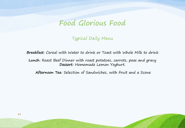### Food Glorious Food

Typical Daily Menu

**Breakfast**: Cereal with Water to drink or Toast with Whole Milk to drink

**Lunch**: Roast Beef Dinner with roast potatoes, carrots, peas and gravy **Dessert:** Homemade Lemon Yoghurt.

**Afternoon Tea**: Selection of Sandwiches, with Fruit and a Scone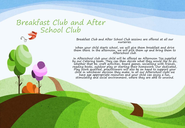## Breakfast Club and After School Club

Breakfast Club and After School Club sessions are offered at all our nurseries.

When your child starts school, we will give them breakfast and drive them there. In the afternoon, we will pick them up and bring them to<br>Afterschool club.

In Afterschool club your child will be offered an Afternoon Tea supplied by our Catering team. They can then decide what they would like to do, whether that be; craft activities, board games, socialising with friends, reading books, outdoor play or starting their homework. Our dedicated, Play Work qualified, practitioners will also be on hand to support your child in whichever decision they make. In all our Afterschool clubs we<br>have age appropriate resources and your child can enjoy a fun,<br>stimulating and social environment, where they are able to unwind.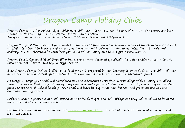## Dragon Camp Holiday Clubs

Dragon Camps are fun holiday clubs which your child can attend between the ages of 4 – 14. The camps are both situated in Colwyn Bay and run between 8.30am and 5.30pm. Early and Late sessions are available between 7.30am-8.30am and 5.30pm – 6pm.

**Dragon Camps @ Ysgol Pen y Bryn** provides a jam-packed programme of planned activities for children aged 4 to 8, carefully structured to balance high-energy action games with calmer, fun-based activities like art, craft and cookery. You can therefore be confident your child will be happy and have a great time with us.

**Dragon Sports Camps @ Ysgol Bryn Elian** has a programme designed specifically for older children, aged 9 to 14, filled with lots of sports and high energy activities.

Both Dragon Camps include buffet -style food which is prepared by our Catering team each day. Your child will also be invited to attend several special outings, including cinema trips, swimming and adventure sports.

At Dragon Camps your child will experience fun and adventure in spacious surroundings with a happy specialised team, and an excellent range of high-quality resources and equipment. Our camps are safe, rewarding and exciting places to spend their school holidays. Your child will leave having made new friends, had great experiences and excitedly awaiting return.

Children under 4 years old can still attend our service during the school holidays but they will continue to be cared for as normal at their chosen nursery.

For further information, visit our website [www.dragoncamps.com](http://www.dragoncamps.com/), ask the Manager at your local nursery or call 014922532104.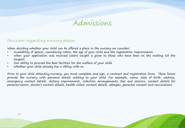### Admissions

### Decisions regarding nursery places

When deciding whether your child can be offered a place in the nursery we consider:

- Availability of spaces, considering ratios, the age of your child and the registration requirements
- When your application was received (extra weight is given to those who have been on the waiting list the longest)
- Our ability to provide the best facilities for the welfare of your child
- Whether your child already has a sibling with us.

Prior to your child attending nursery, you must complete and sign, a contract and registration form. These forms provide the nursery with personal details relating to your child. For example, name, date of birth, address, emergency contact details, dietary requirements, collection arrangements, fees and sessions, contact details for parents/carers, doctor's contact details, health visitor contact details, allergies, parental consent and vaccinations.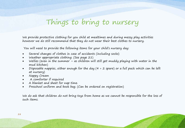## Things to bring to nursery

We provide protective clothing for you child at mealtimes and during messy play activities however we do still recommend that they do not wear their best clothes to nursery.

You will need to provide the following items for your child's nursery day:

- Several changes of clothes in case of accidents (including socks)
- Weather appropriate clothing. (See page 21)
- Wellies (even in the summer as children will still get muddy playing with water in the mud kitchen)
- Disposable nappies, either enough for the day  $(4 + 2$  spare) or a full pack which can be left at nursery)
- Nappy Cream
- A comforter if required
- A blanket and sheet for nap time.
- Preschool uniform and book bag. (Can be ordered on registration)

We do ask that children do not bring toys from home as we cannot be responsible for the loss of such items.